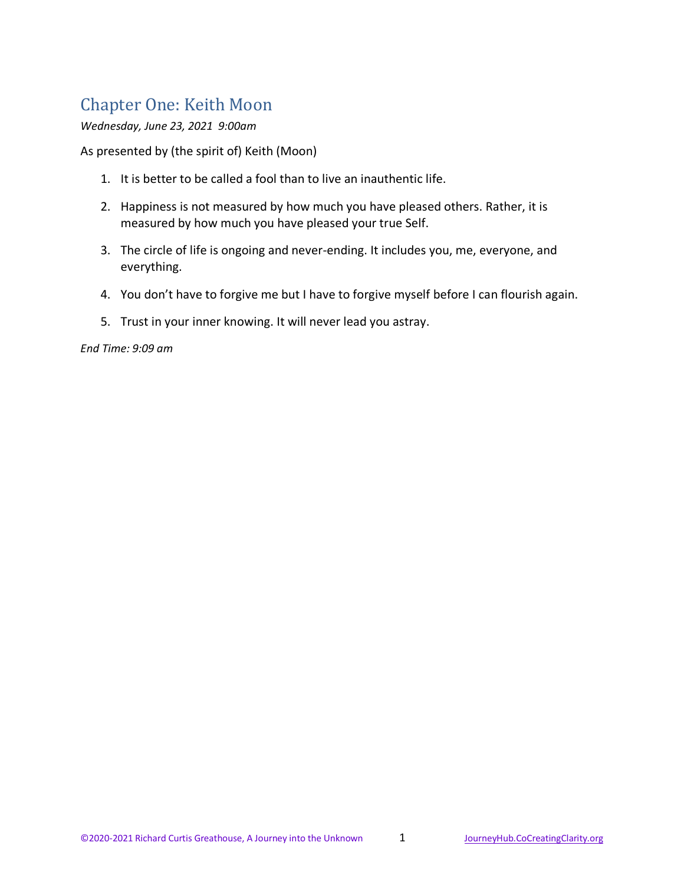# Chapter One: Keith Moon

*Wednesday, June 23, 2021 9:00am*

As presented by (the spirit of) Keith (Moon)

- 1. It is better to be called a fool than to live an inauthentic life.
- 2. Happiness is not measured by how much you have pleased others. Rather, it is measured by how much you have pleased your true Self.
- 3. The circle of life is ongoing and never-ending. It includes you, me, everyone, and everything.
- 4. You don't have to forgive me but I have to forgive myself before I can flourish again.
- 5. Trust in your inner knowing. It will never lead you astray.

*End Time: 9:09 am*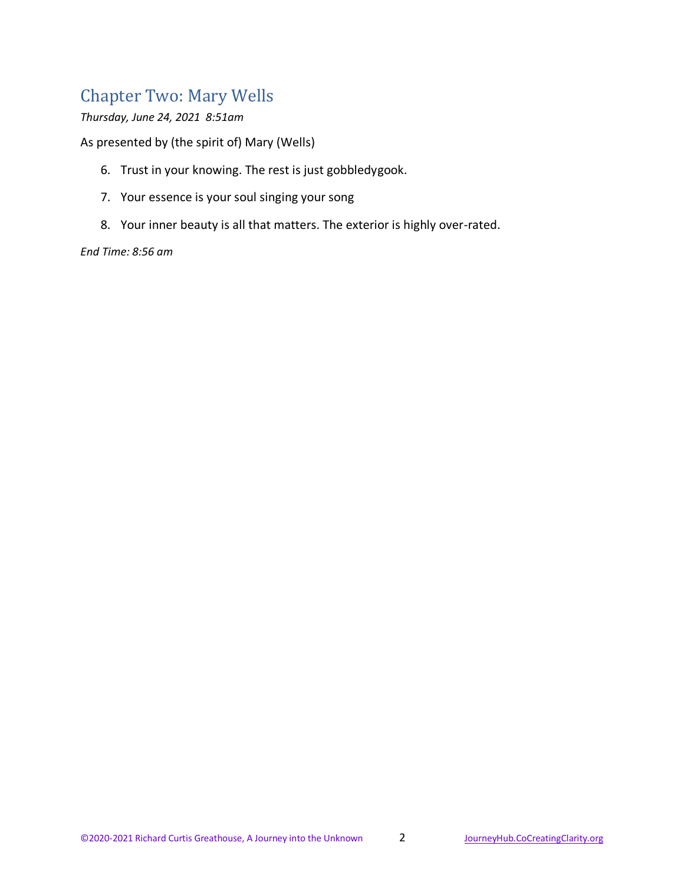# Chapter Two: Mary Wells

#### *Thursday, June 24, 2021 8:51am*

As presented by (the spirit of) Mary (Wells)

- 6. Trust in your knowing. The rest is just gobbledygook.
- 7. Your essence is your soul singing your song
- 8. Your inner beauty is all that matters. The exterior is highly over-rated.

*End Time: 8:56 am*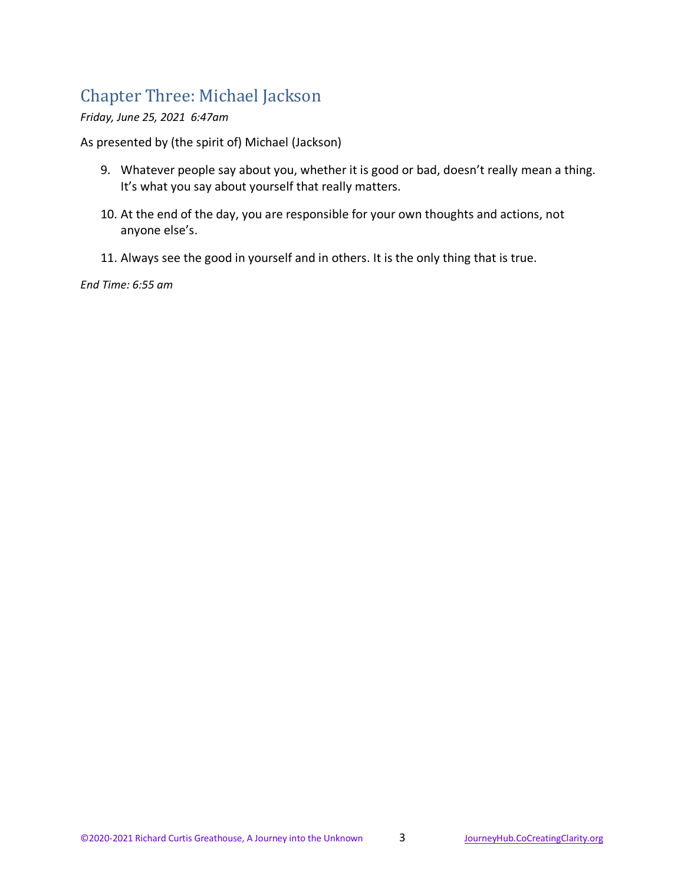## Chapter Three: Michael Jackson

*Friday, June 25, 2021 6:47am*

As presented by (the spirit of) Michael (Jackson)

- 9. Whatever people say about you, whether it is good or bad, doesn't really mean a thing. It's what you say about yourself that really matters.
- 10. At the end of the day, you are responsible for your own thoughts and actions, not anyone else's.
- 11. Always see the good in yourself and in others. It is the only thing that is true.

*End Time: 6:55 am*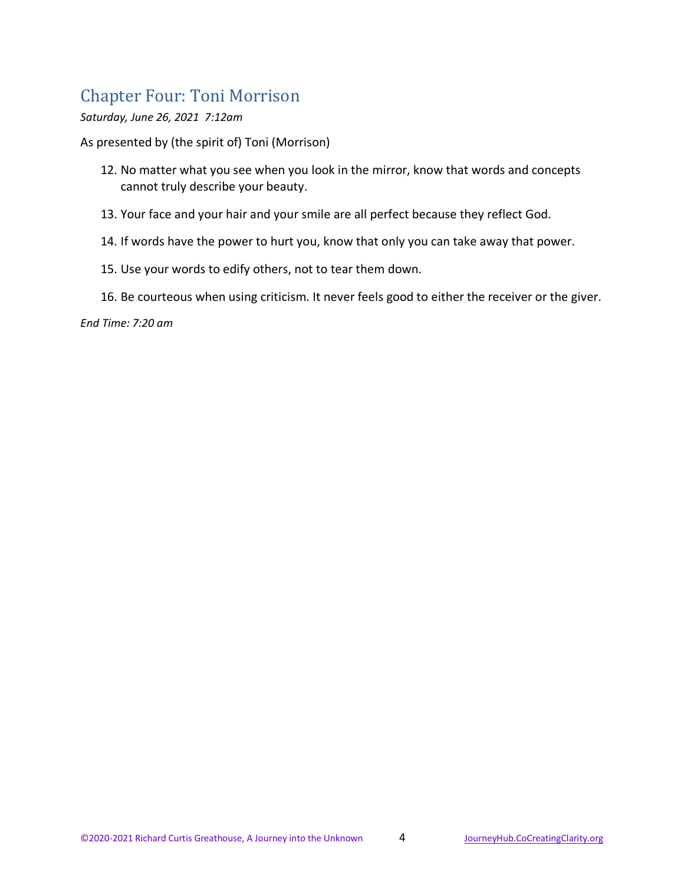## Chapter Four: Toni Morrison

*Saturday, June 26, 2021 7:12am*

As presented by (the spirit of) Toni (Morrison)

- 12. No matter what you see when you look in the mirror, know that words and concepts cannot truly describe your beauty.
- 13. Your face and your hair and your smile are all perfect because they reflect God.
- 14. If words have the power to hurt you, know that only you can take away that power.
- 15. Use your words to edify others, not to tear them down.
- 16. Be courteous when using criticism. It never feels good to either the receiver or the giver.

*End Time: 7:20 am*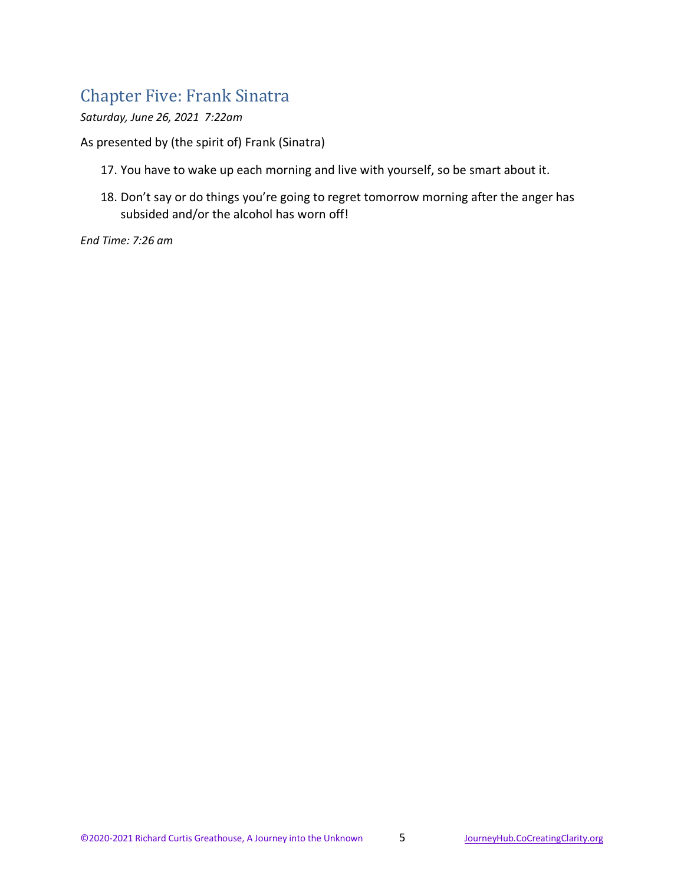## Chapter Five: Frank Sinatra

*Saturday, June 26, 2021 7:22am*

As presented by (the spirit of) Frank (Sinatra)

- 17. You have to wake up each morning and live with yourself, so be smart about it.
- 18. Don't say or do things you're going to regret tomorrow morning after the anger has subsided and/or the alcohol has worn off!

*End Time: 7:26 am*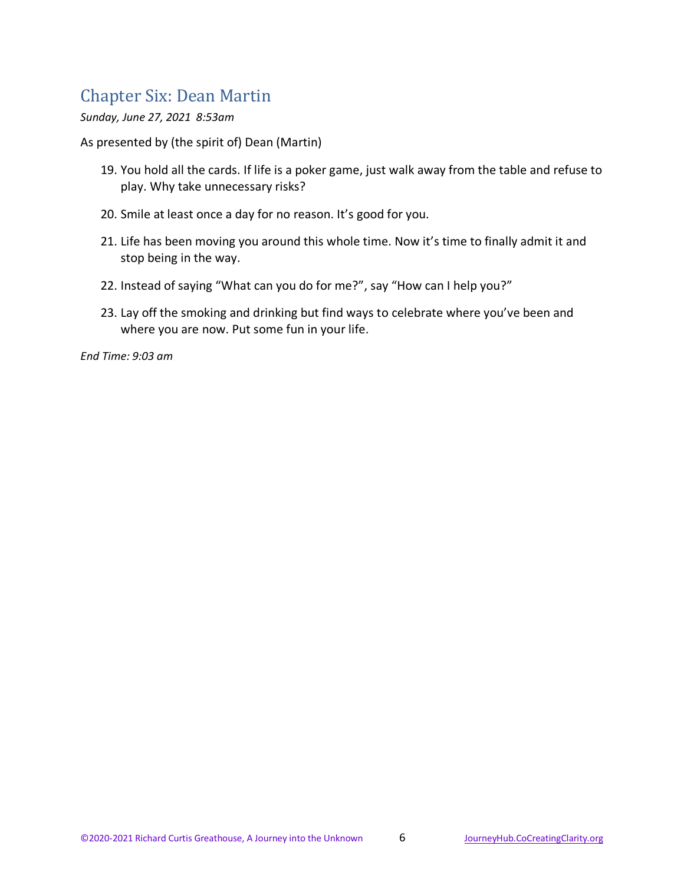### Chapter Six: Dean Martin

*Sunday, June 27, 2021 8:53am*

As presented by (the spirit of) Dean (Martin)

- 19. You hold all the cards. If life is a poker game, just walk away from the table and refuse to play. Why take unnecessary risks?
- 20. Smile at least once a day for no reason. It's good for you.
- 21. Life has been moving you around this whole time. Now it's time to finally admit it and stop being in the way.
- 22. Instead of saying "What can you do for me?", say "How can I help you?"
- 23. Lay off the smoking and drinking but find ways to celebrate where you've been and where you are now. Put some fun in your life.

*End Time: 9:03 am*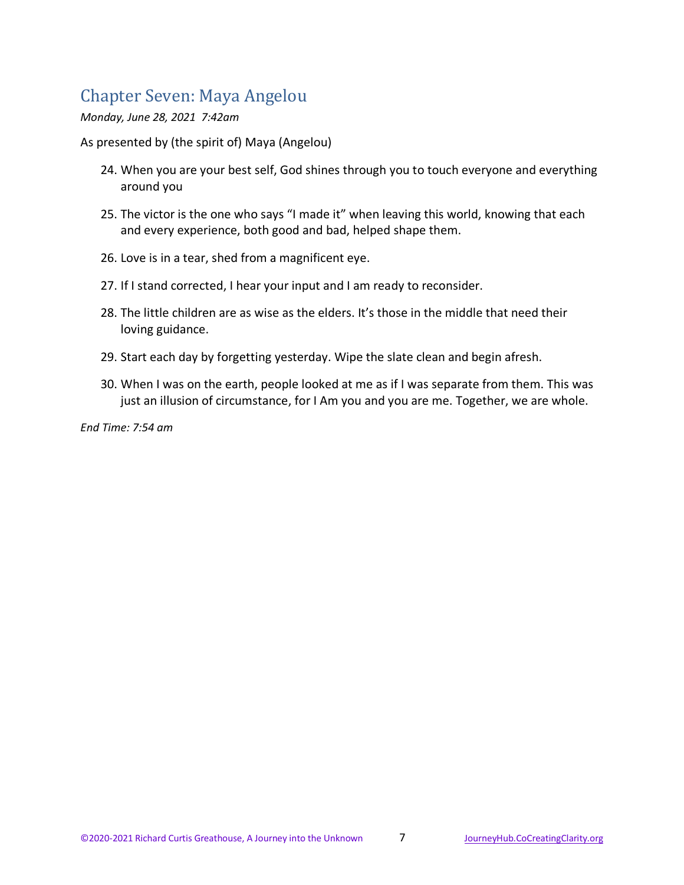## Chapter Seven: Maya Angelou

*Monday, June 28, 2021 7:42am*

As presented by (the spirit of) Maya (Angelou)

- 24. When you are your best self, God shines through you to touch everyone and everything around you
- 25. The victor is the one who says "I made it" when leaving this world, knowing that each and every experience, both good and bad, helped shape them.
- 26. Love is in a tear, shed from a magnificent eye.
- 27. If I stand corrected, I hear your input and I am ready to reconsider.
- 28. The little children are as wise as the elders. It's those in the middle that need their loving guidance.
- 29. Start each day by forgetting yesterday. Wipe the slate clean and begin afresh.
- 30. When I was on the earth, people looked at me as if I was separate from them. This was just an illusion of circumstance, for I Am you and you are me. Together, we are whole.

*End Time: 7:54 am*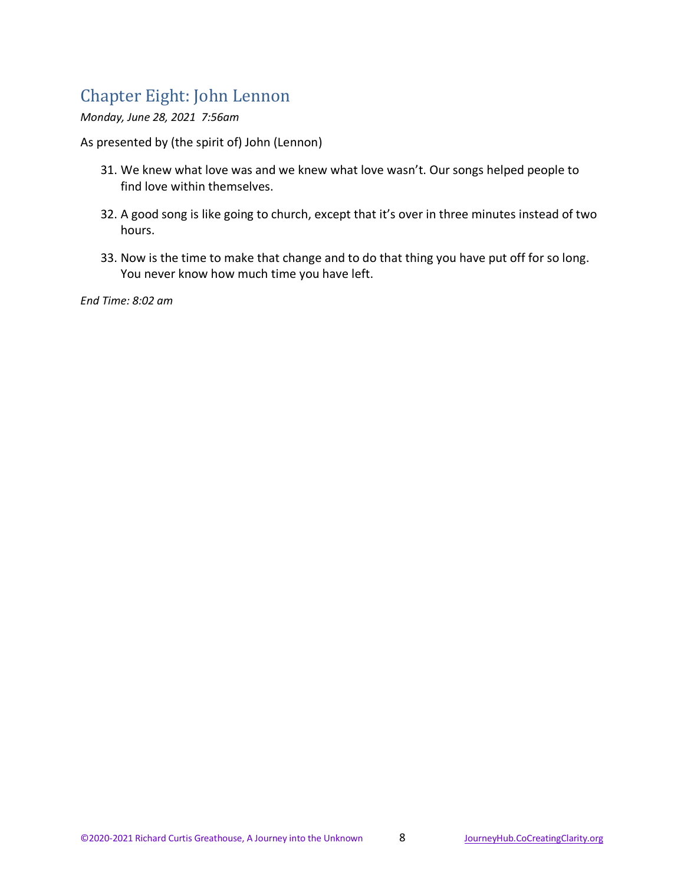## Chapter Eight: John Lennon

*Monday, June 28, 2021 7:56am*

As presented by (the spirit of) John (Lennon)

- 31. We knew what love was and we knew what love wasn't. Our songs helped people to find love within themselves.
- 32. A good song is like going to church, except that it's over in three minutes instead of two hours.
- 33. Now is the time to make that change and to do that thing you have put off for so long. You never know how much time you have left.

*End Time: 8:02 am*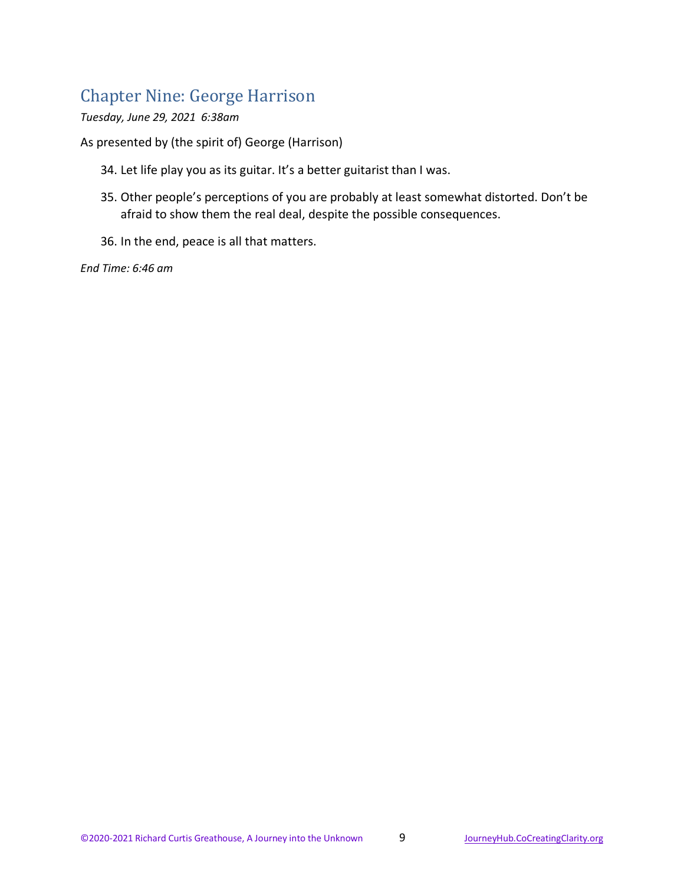## Chapter Nine: George Harrison

*Tuesday, June 29, 2021 6:38am*

As presented by (the spirit of) George (Harrison)

- 34. Let life play you as its guitar. It's a better guitarist than I was.
- 35. Other people's perceptions of you are probably at least somewhat distorted. Don't be afraid to show them the real deal, despite the possible consequences.
- 36. In the end, peace is all that matters.

*End Time: 6:46 am*